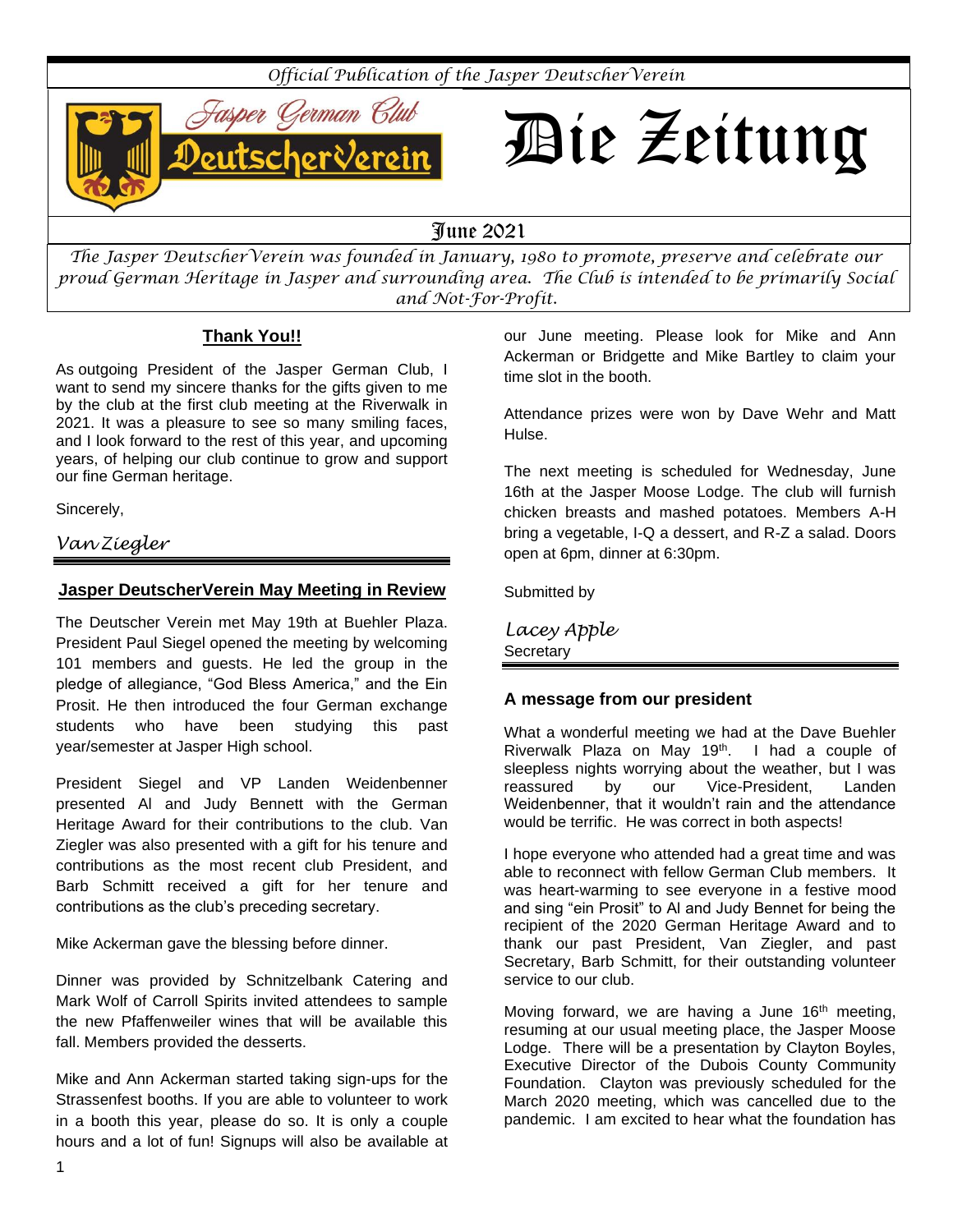*Official Publication of the Jasper DeutscherVerein*



# Die Zeitung

## June 2021

*The Jasper DeutscherVerein was founded in January, 1980 to promote, preserve and celebrate our proud German Heritage in Jasper and surrounding area. The Club is intended to be primarily Social and Not-For-Profit.*

## **Thank You!!**

As outgoing President of the Jasper German Club, I want to send my sincere thanks for the gifts given to me by the club at the first club meeting at the Riverwalk in 2021. It was a pleasure to see so many smiling faces, and I look forward to the rest of this year, and upcoming years, of helping our club continue to grow and support our fine German heritage.

Sincerely,

## *Van Ziegler*

## **Jasper DeutscherVerein May Meeting in Review**

The Deutscher Verein met May 19th at Buehler Plaza. President Paul Siegel opened the meeting by welcoming 101 members and guests. He led the group in the pledge of allegiance, "God Bless America," and the Ein Prosit. He then introduced the four German exchange students who have been studying this past year/semester at Jasper High school.

President Siegel and VP Landen Weidenbenner presented Al and Judy Bennett with the German Heritage Award for their contributions to the club. Van Ziegler was also presented with a gift for his tenure and contributions as the most recent club President, and Barb Schmitt received a gift for her tenure and contributions as the club's preceding secretary.

Mike Ackerman gave the blessing before dinner.

Dinner was provided by Schnitzelbank Catering and Mark Wolf of Carroll Spirits invited attendees to sample the new Pfaffenweiler wines that will be available this fall. Members provided the desserts.

Mike and Ann Ackerman started taking sign-ups for the Strassenfest booths. If you are able to volunteer to work in a booth this year, please do so. It is only a couple hours and a lot of fun! Signups will also be available at our June meeting. Please look for Mike and Ann Ackerman or Bridgette and Mike Bartley to claim your time slot in the booth.

Attendance prizes were won by Dave Wehr and Matt Hulse.

The next meeting is scheduled for Wednesday, June 16th at the Jasper Moose Lodge. The club will furnish chicken breasts and mashed potatoes. Members A-H bring a vegetable, I-Q a dessert, and R-Z a salad. Doors open at 6pm, dinner at 6:30pm.

Submitted by

*Lacey Apple*  **Secretary** 

## **A message from our president**

What a wonderful meeting we had at the Dave Buehler Riverwalk Plaza on May  $19<sup>th</sup>$ . I had a couple of sleepless nights worrying about the weather, but I was reassured by our Vice-President, Landen Weidenbenner, that it wouldn't rain and the attendance would be terrific. He was correct in both aspects!

I hope everyone who attended had a great time and was able to reconnect with fellow German Club members. It was heart-warming to see everyone in a festive mood and sing "ein Prosit" to Al and Judy Bennet for being the recipient of the 2020 German Heritage Award and to thank our past President, Van Ziegler, and past Secretary, Barb Schmitt, for their outstanding volunteer service to our club.

Moving forward, we are having a June  $16<sup>th</sup>$  meeting, resuming at our usual meeting place, the Jasper Moose Lodge. There will be a presentation by Clayton Boyles, Executive Director of the Dubois County Community Foundation. Clayton was previously scheduled for the March 2020 meeting, which was cancelled due to the pandemic. I am excited to hear what the foundation has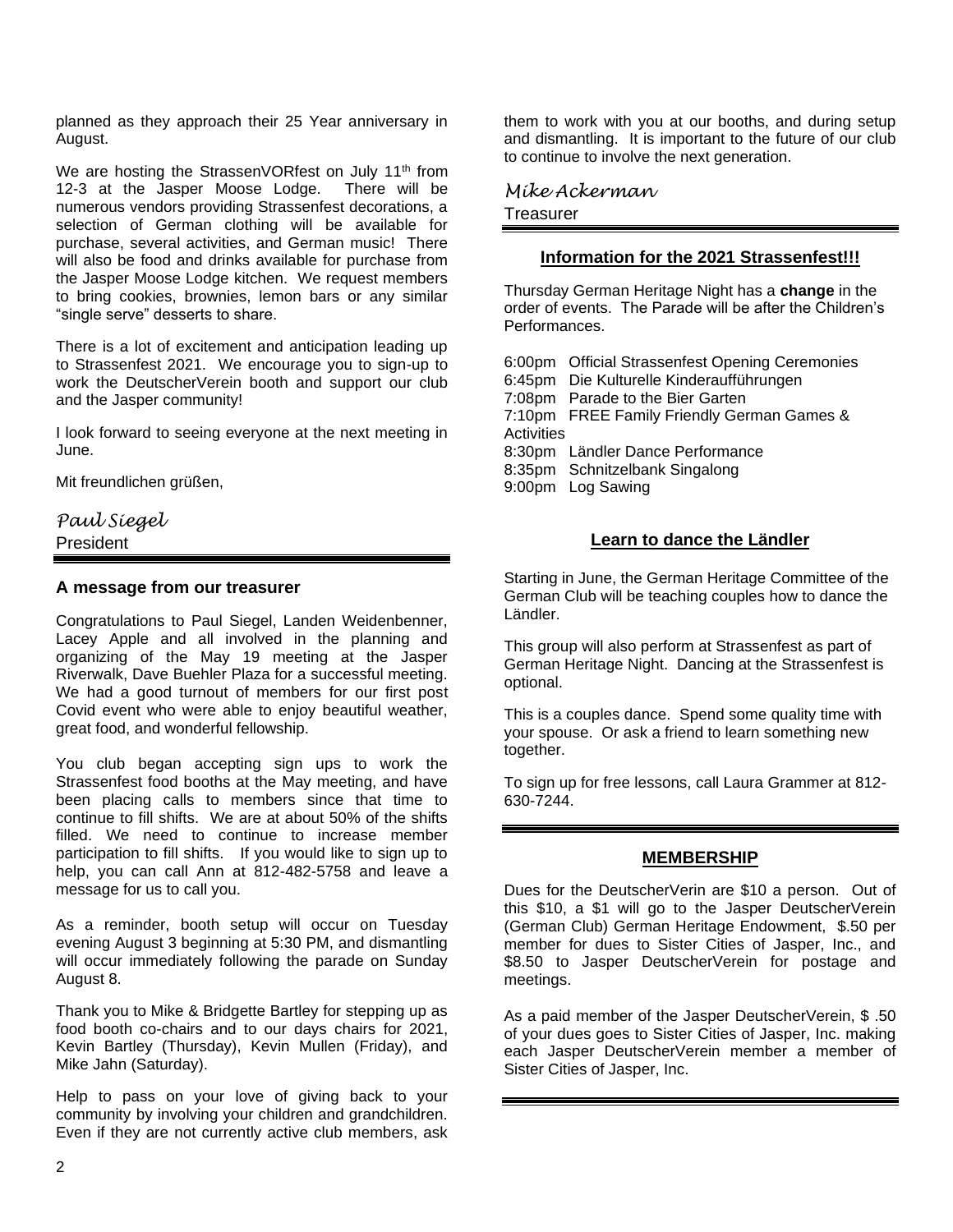planned as they approach their 25 Year anniversary in August.

We are hosting the StrassenVORfest on July 11<sup>th</sup> from 12-3 at the Jasper Moose Lodge. There will be numerous vendors providing Strassenfest decorations, a selection of German clothing will be available for purchase, several activities, and German music! There will also be food and drinks available for purchase from the Jasper Moose Lodge kitchen. We request members to bring cookies, brownies, lemon bars or any similar "single serve" desserts to share.

There is a lot of excitement and anticipation leading up to Strassenfest 2021. We encourage you to sign-up to work the DeutscherVerein booth and support our club and the Jasper community!

I look forward to seeing everyone at the next meeting in June.

Mit freundlichen grüßen,

## *Paul Siegel* President

#### **A message from our treasurer**

Congratulations to Paul Siegel, Landen Weidenbenner, Lacey Apple and all involved in the planning and organizing of the May 19 meeting at the Jasper Riverwalk, Dave Buehler Plaza for a successful meeting. We had a good turnout of members for our first post Covid event who were able to enjoy beautiful weather, great food, and wonderful fellowship.

You club began accepting sign ups to work the Strassenfest food booths at the May meeting, and have been placing calls to members since that time to continue to fill shifts. We are at about 50% of the shifts filled. We need to continue to increase member participation to fill shifts. If you would like to sign up to help, you can call Ann at 812-482-5758 and leave a message for us to call you.

As a reminder, booth setup will occur on Tuesday evening August 3 beginning at 5:30 PM, and dismantling will occur immediately following the parade on Sunday August 8.

Thank you to Mike & Bridgette Bartley for stepping up as food booth co-chairs and to our days chairs for 2021, Kevin Bartley (Thursday), Kevin Mullen (Friday), and Mike Jahn (Saturday).

Help to pass on your love of giving back to your community by involving your children and grandchildren. Even if they are not currently active club members, ask

them to work with you at our booths, and during setup and dismantling. It is important to the future of our club to continue to involve the next generation.

*Mike Ackerman* **Treasurer** 

#### **Information for the 2021 Strassenfest!!!**

Thursday German Heritage Night has a **change** in the order of events. The Parade will be after the Children's Performances.

6:00pm Official Strassenfest Opening Ceremonies 6:45pm Die Kulturelle Kinderaufführungen 7:08pm Parade to the Bier Garten 7:10pm FREE Family Friendly German Games & **Activities** 8:30pm Ländler Dance Performance 8:35pm Schnitzelbank Singalong 9:00pm Log Sawing

#### **Learn to dance the Ländler**

Starting in June, the German Heritage Committee of the German Club will be teaching couples how to dance the Ländler.

This group will also perform at Strassenfest as part of German Heritage Night. Dancing at the Strassenfest is optional.

This is a couples dance. Spend some quality time with your spouse. Or ask a friend to learn something new together.

To sign up for free lessons, call Laura Grammer at 812- 630-7244.

### **MEMBERSHIP**

Dues for the DeutscherVerin are \$10 a person. Out of this \$10, a \$1 will go to the Jasper DeutscherVerein (German Club) German Heritage Endowment, \$.50 per member for dues to Sister Cities of Jasper, Inc., and \$8.50 to Jasper DeutscherVerein for postage and meetings.

As a paid member of the Jasper DeutscherVerein, \$ .50 of your dues goes to Sister Cities of Jasper, Inc. making each Jasper DeutscherVerein member a member of Sister Cities of Jasper, Inc.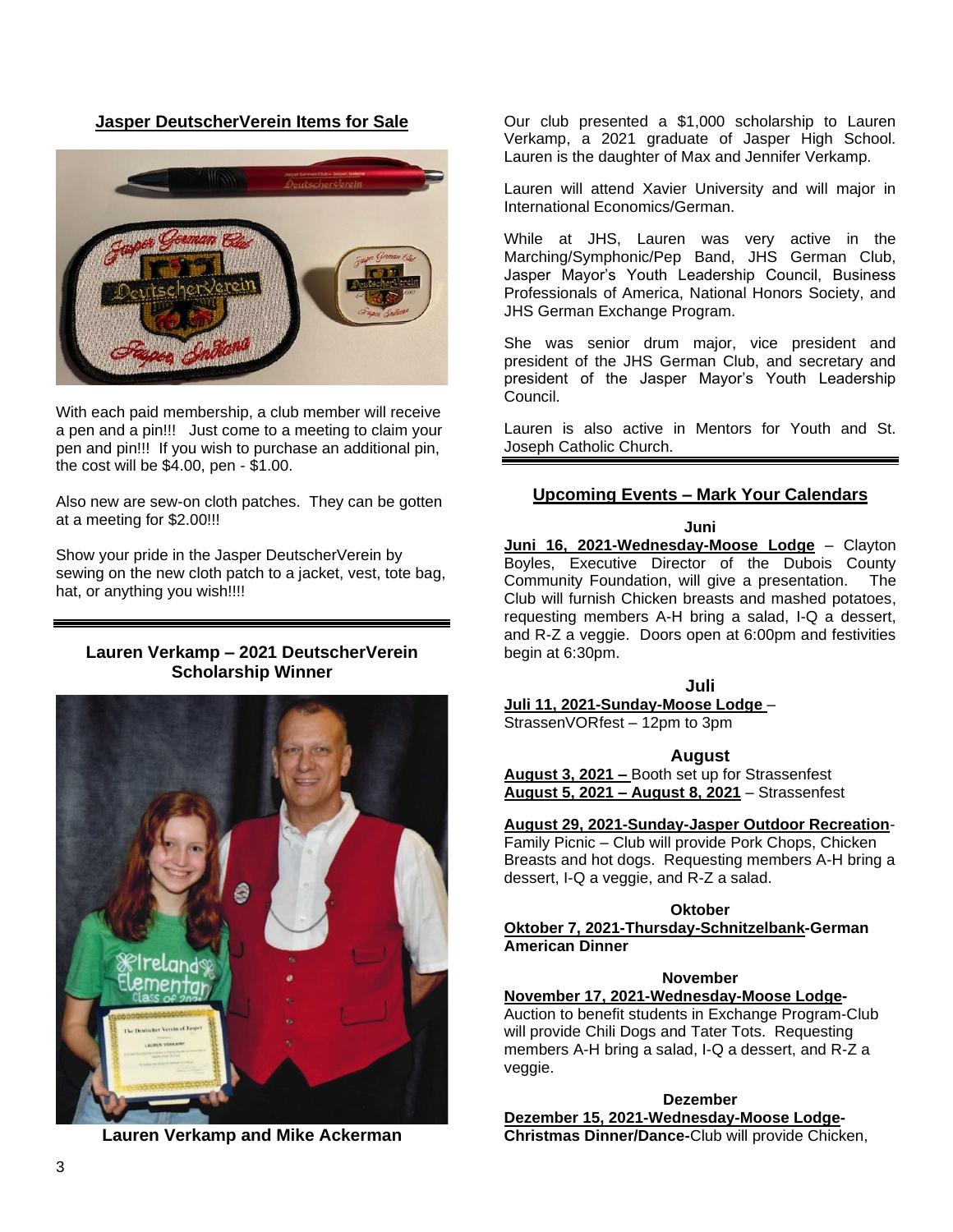**Jasper DeutscherVerein Items for Sale**



With each paid membership, a club member will receive a pen and a pin!!! Just come to a meeting to claim your pen and pin!!! If you wish to purchase an additional pin, the cost will be \$4.00, pen - \$1.00.

Also new are sew-on cloth patches. They can be gotten at a meeting for \$2.00!!!

Show your pride in the Jasper DeutscherVerein by sewing on the new cloth patch to a jacket, vest, tote bag, hat, or anything you wish!!!!

#### **Lauren Verkamp – 2021 DeutscherVerein Scholarship Winner**



**Lauren Verkamp and Mike Ackerman**

Our club presented a \$1,000 scholarship to Lauren Verkamp, a 2021 graduate of Jasper High School. Lauren is the daughter of Max and Jennifer Verkamp.

Lauren will attend Xavier University and will major in International Economics/German.

While at JHS, Lauren was very active in the Marching/Symphonic/Pep Band, JHS German Club, Jasper Mayor's Youth Leadership Council, Business Professionals of America, National Honors Society, and JHS German Exchange Program.

She was senior drum major, vice president and president of the JHS German Club, and secretary and president of the Jasper Mayor's Youth Leadership Council.

Lauren is also active in Mentors for Youth and St. Joseph Catholic Church.

#### **Upcoming Events – Mark Your Calendars**

**Juni**

**Juni 16, 2021-Wednesday-Moose Lodge** – Clayton Boyles, Executive Director of the Dubois County Community Foundation, will give a presentation. The Club will furnish Chicken breasts and mashed potatoes, requesting members A-H bring a salad, I-Q a dessert, and R-Z a veggie. Doors open at 6:00pm and festivities begin at 6:30pm.

**Juli**

**Juli 11, 2021-Sunday-Moose Lodge** –

StrassenVORfest – 12pm to 3pm

**August**

**August 3, 2021 –** Booth set up for Strassenfest **August 5, 2021 – August 8, 2021** – Strassenfest

#### **August 29, 2021-Sunday-Jasper Outdoor Recreation**-

Family Picnic – Club will provide Pork Chops, Chicken Breasts and hot dogs. Requesting members A-H bring a dessert, I-Q a veggie, and R-Z a salad.

**Oktober**

**Oktober 7, 2021-Thursday-Schnitzelbank-German American Dinner**

#### **November**

#### **November 17, 2021-Wednesday-Moose Lodge-**

Auction to benefit students in Exchange Program-Club will provide Chili Dogs and Tater Tots. Requesting members A-H bring a salad, I-Q a dessert, and R-Z a veggie.

**Dezember Dezember 15, 2021-Wednesday-Moose Lodge-Christmas Dinner/Dance-**Club will provide Chicken,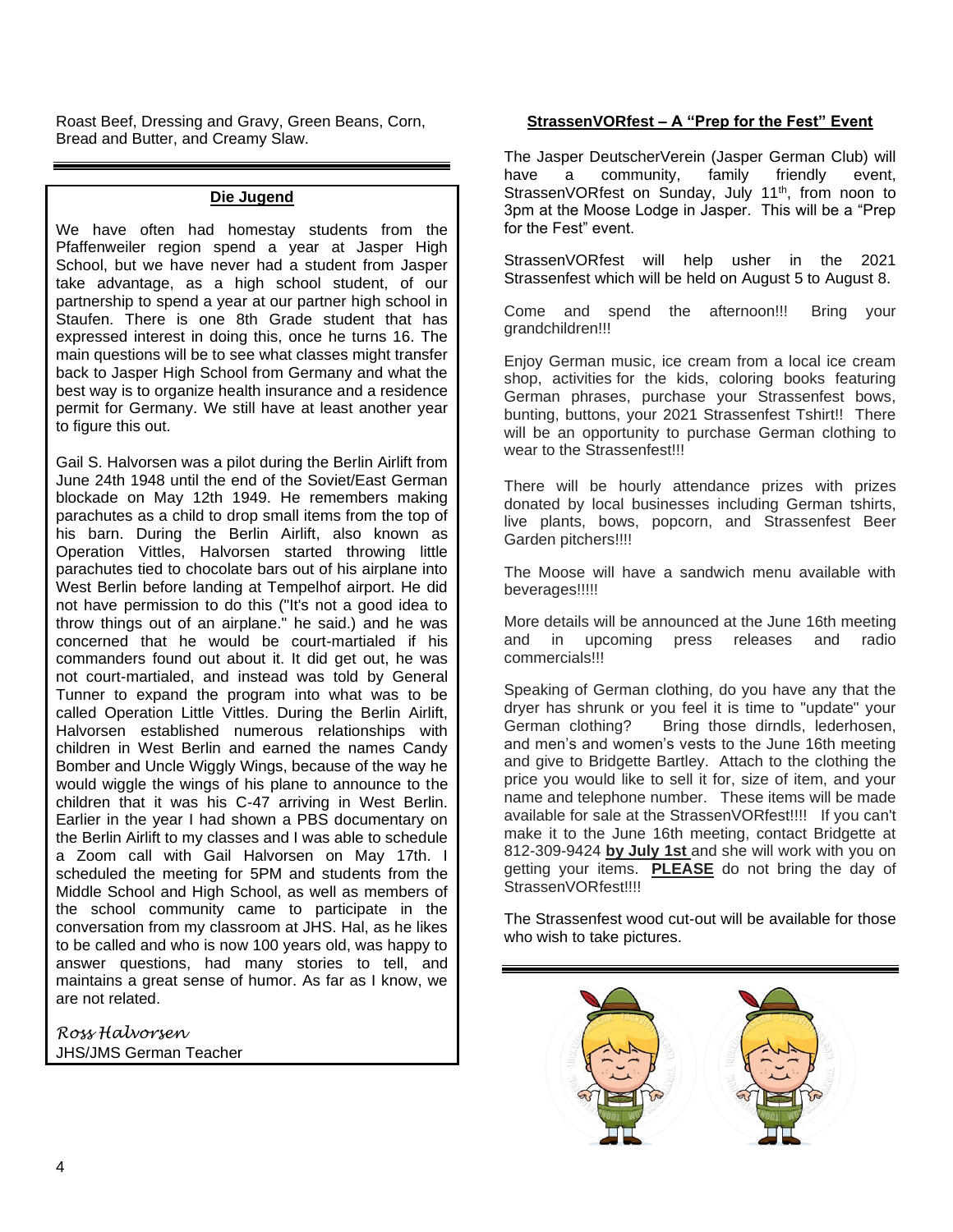Roast Beef, Dressing and Gravy, Green Beans, Corn, Bread and Butter, and Creamy Slaw.

#### **Die Jugend**

We have often had homestay students from the Pfaffenweiler region spend a year at Jasper High School, but we have never had a student from Jasper take advantage, as a high school student, of our partnership to spend a year at our partner high school in Staufen. There is one 8th Grade student that has expressed interest in doing this, once he turns 16. The main questions will be to see what classes might transfer back to Jasper High School from Germany and what the best way is to organize health insurance and a residence permit for Germany. We still have at least another year to figure this out.

Gail S. Halvorsen was a pilot during the Berlin Airlift from June 24th 1948 until the end of the Soviet/East German blockade on May 12th 1949. He remembers making parachutes as a child to drop small items from the top of his barn. During the Berlin Airlift, also known as Operation Vittles, Halvorsen started throwing little parachutes tied to chocolate bars out of his airplane into West Berlin before landing at Tempelhof airport. He did not have permission to do this ("It's not a good idea to throw things out of an airplane." he said.) and he was concerned that he would be court-martialed if his commanders found out about it. It did get out, he was not court-martialed, and instead was told by General Tunner to expand the program into what was to be called Operation Little Vittles. During the Berlin Airlift, Halvorsen established numerous relationships with children in West Berlin and earned the names Candy Bomber and Uncle Wiggly Wings, because of the way he would wiggle the wings of his plane to announce to the children that it was his C-47 arriving in West Berlin. Earlier in the year I had shown a PBS documentary on the Berlin Airlift to my classes and I was able to schedule a Zoom call with Gail Halvorsen on May 17th. I scheduled the meeting for 5PM and students from the Middle School and High School, as well as members of the school community came to participate in the conversation from my classroom at JHS. Hal, as he likes to be called and who is now 100 years old, was happy to answer questions, had many stories to tell, and maintains a great sense of humor. As far as I know, we are not related.

*Ross Halvorsen* JHS/JMS German Teacher

#### **StrassenVORfest – A "Prep for the Fest" Event**

The Jasper DeutscherVerein (Jasper German Club) will have a community, family friendly event, StrassenVORfest on Sunday, July 11<sup>th</sup>, from noon to 3pm at the Moose Lodge in Jasper. This will be a "Prep for the Fest" event.

StrassenVORfest will help usher in the 2021 Strassenfest which will be held on August 5 to August 8.

Come and spend the afternoon!!! Bring your grandchildren!!!

Enjoy German music, ice cream from a local ice cream shop, activities for the kids, coloring books featuring German phrases, purchase your Strassenfest bows, bunting, buttons, your 2021 Strassenfest Tshirt!! There will be an opportunity to purchase German clothing to wear to the Strassenfest!!!

There will be hourly attendance prizes with prizes donated by local businesses including German tshirts, live plants, bows, popcorn, and Strassenfest Beer Garden pitchers!!!!

The Moose will have a sandwich menu available with beverages!!!!!

More details will be announced at the June 16th meeting and in upcoming press releases and radio commercials!!!

Speaking of German clothing, do you have any that the dryer has shrunk or you feel it is time to "update" your German clothing? Bring those dirndls, lederhosen, and men's and women's vests to the June 16th meeting and give to Bridgette Bartley. Attach to the clothing the price you would like to sell it for, size of item, and your name and telephone number. These items will be made available for sale at the StrassenVORfest!!!! If you can't make it to the June 16th meeting, contact Bridgette at 812-309-9424 **by July 1st** and she will work with you on getting your items. **PLEASE** do not bring the day of StrassenVORfest!!!!

The Strassenfest wood cut-out will be available for those who wish to take pictures.

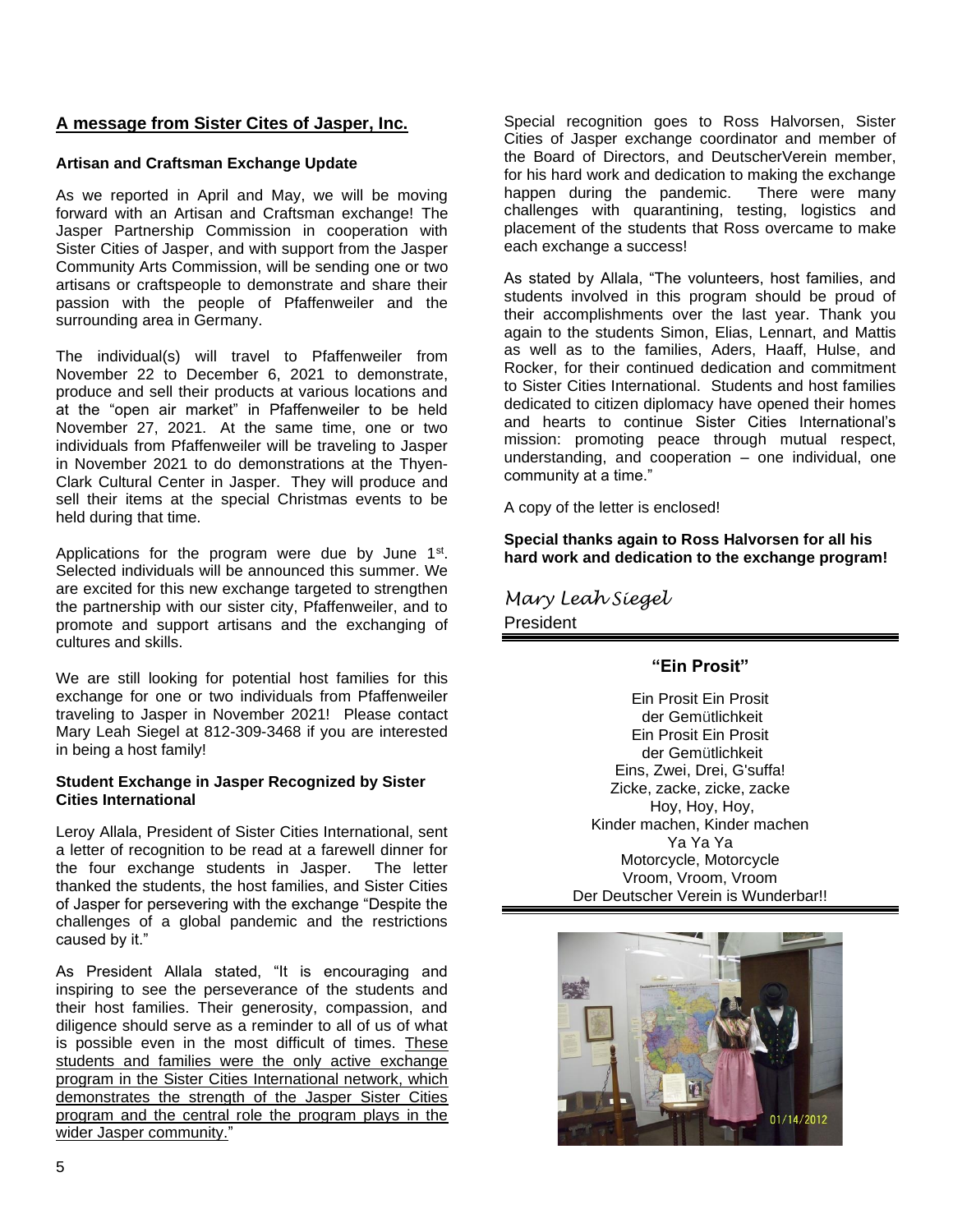#### **A message from Sister Cites of Jasper, Inc.**

#### **Artisan and Craftsman Exchange Update**

As we reported in April and May, we will be moving forward with an Artisan and Craftsman exchange! The Jasper Partnership Commission in cooperation with Sister Cities of Jasper, and with support from the Jasper Community Arts Commission, will be sending one or two artisans or craftspeople to demonstrate and share their passion with the people of Pfaffenweiler and the surrounding area in Germany.

The individual(s) will travel to Pfaffenweiler from November 22 to December 6, 2021 to demonstrate, produce and sell their products at various locations and at the "open air market" in Pfaffenweiler to be held November 27, 2021. At the same time, one or two individuals from Pfaffenweiler will be traveling to Jasper in November 2021 to do demonstrations at the Thyen-Clark Cultural Center in Jasper. They will produce and sell their items at the special Christmas events to be held during that time.

Applications for the program were due by June  $1<sup>st</sup>$ . Selected individuals will be announced this summer. We are excited for this new exchange targeted to strengthen the partnership with our sister city, Pfaffenweiler, and to promote and support artisans and the exchanging of cultures and skills.

We are still looking for potential host families for this exchange for one or two individuals from Pfaffenweiler traveling to Jasper in November 2021! Please contact Mary Leah Siegel at 812-309-3468 if you are interested in being a host family!

#### **Student Exchange in Jasper Recognized by Sister Cities International**

Leroy Allala, President of Sister Cities International, sent a letter of recognition to be read at a farewell dinner for the four exchange students in Jasper. The letter thanked the students, the host families, and Sister Cities of Jasper for persevering with the exchange "Despite the challenges of a global pandemic and the restrictions caused by it."

As President Allala stated, "It is encouraging and inspiring to see the perseverance of the students and their host families. Their generosity, compassion, and diligence should serve as a reminder to all of us of what is possible even in the most difficult of times. These students and families were the only active exchange program in the Sister Cities International network, which demonstrates the strength of the Jasper Sister Cities program and the central role the program plays in the wider Jasper community."

Special recognition goes to Ross Halvorsen, Sister Cities of Jasper exchange coordinator and member of the Board of Directors, and DeutscherVerein member, for his hard work and dedication to making the exchange happen during the pandemic. There were many challenges with quarantining, testing, logistics and placement of the students that Ross overcame to make each exchange a success!

As stated by Allala, "The volunteers, host families, and students involved in this program should be proud of their accomplishments over the last year. Thank you again to the students Simon, Elias, Lennart, and Mattis as well as to the families, Aders, Haaff, Hulse, and Rocker, for their continued dedication and commitment to Sister Cities International. Students and host families dedicated to citizen diplomacy have opened their homes and hearts to continue Sister Cities International's mission: promoting peace through mutual respect, understanding, and cooperation – one individual, one community at a time."

A copy of the letter is enclosed!

**Special thanks again to Ross Halvorsen for all his hard work and dedication to the exchange program!** 

*Mary Leah Siegel* **President** 

#### **"Ein Prosit"**

Ein Prosit Ein Prosit der Gemütlichkeit Ein Prosit Ein Prosit der Gemütlichkeit Eins, Zwei, Drei, G'suffa! Zicke, zacke, zicke, zacke Hoy, Hoy, Hoy, Kinder machen, Kinder machen Ya Ya Ya Motorcycle, Motorcycle Vroom, Vroom, Vroom Der Deutscher Verein is Wunderbar!!

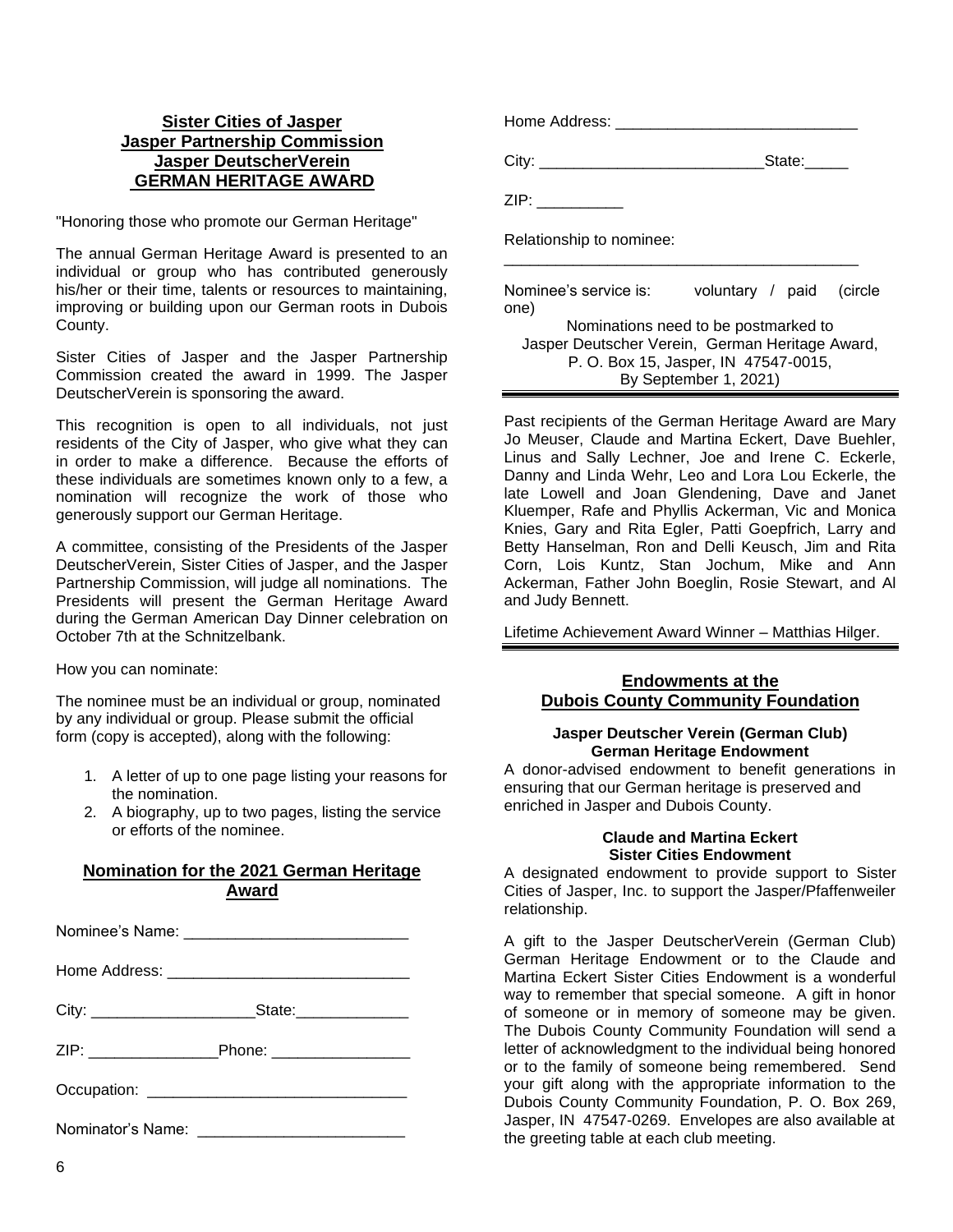#### **Sister Cities of Jasper Jasper Partnership Commission Jasper DeutscherVerein GERMAN HERITAGE AWARD**

"Honoring those who promote our German Heritage"

The annual German Heritage Award is presented to an individual or group who has contributed generously his/her or their time, talents or resources to maintaining, improving or building upon our German roots in Dubois County.

Sister Cities of Jasper and the Jasper Partnership Commission created the award in 1999. The Jasper DeutscherVerein is sponsoring the award.

This recognition is open to all individuals, not just residents of the City of Jasper, who give what they can in order to make a difference. Because the efforts of these individuals are sometimes known only to a few, a nomination will recognize the work of those who generously support our German Heritage.

A committee, consisting of the Presidents of the Jasper DeutscherVerein, Sister Cities of Jasper, and the Jasper Partnership Commission, will judge all nominations. The Presidents will present the German Heritage Award during the German American Day Dinner celebration on October 7th at the Schnitzelbank.

How you can nominate:

The nominee must be an individual or group, nominated by any individual or group. Please submit the official form (copy is accepted), along with the following:

- 1. A letter of up to one page listing your reasons for the nomination.
- 2. A biography, up to two pages, listing the service or efforts of the nominee.

#### **Nomination for the 2021 German Heritage Award**

| ZIP: _________________________Phone: ________________________ |
|---------------------------------------------------------------|
|                                                               |
|                                                               |

| City: $\frac{\ }{\ }$                | State:                                          |  |  |
|--------------------------------------|-------------------------------------------------|--|--|
| ZIP:                                 |                                                 |  |  |
| Relationship to nominee:             |                                                 |  |  |
| Nominee's service is:<br>one)        | voluntary / paid (circle                        |  |  |
|                                      | Nominations need to be postmarked to            |  |  |
|                                      | Jasper Deutscher Verein, German Heritage Award, |  |  |
| P. O. Box 15, Jasper, IN 47547-0015, |                                                 |  |  |
| By September 1, 2021)                |                                                 |  |  |

Home Address: \_\_\_\_\_\_\_\_\_\_\_\_\_\_\_\_\_\_\_\_\_\_\_\_\_\_\_\_

Past recipients of the German Heritage Award are Mary Jo Meuser, Claude and Martina Eckert, Dave Buehler, Linus and Sally Lechner, Joe and Irene C. Eckerle, Danny and Linda Wehr, Leo and Lora Lou Eckerle, the late Lowell and Joan Glendening, Dave and Janet Kluemper, Rafe and Phyllis Ackerman, Vic and Monica Knies, Gary and Rita Egler, Patti Goepfrich, Larry and Betty Hanselman, Ron and Delli Keusch, Jim and Rita Corn, Lois Kuntz, Stan Jochum, Mike and Ann Ackerman, Father John Boeglin, Rosie Stewart, and Al and Judy Bennett.

Lifetime Achievement Award Winner – Matthias Hilger.

#### **Endowments at the Dubois County Community Foundation**

#### **Jasper Deutscher Verein (German Club) German Heritage Endowment**

A donor-advised endowment to benefit generations in ensuring that our German heritage is preserved and enriched in Jasper and Dubois County.

#### **Claude and Martina Eckert Sister Cities Endowment**

A designated endowment to provide support to Sister Cities of Jasper, Inc. to support the Jasper/Pfaffenweiler relationship.

A gift to the Jasper DeutscherVerein (German Club) German Heritage Endowment or to the Claude and Martina Eckert Sister Cities Endowment is a wonderful way to remember that special someone. A gift in honor of someone or in memory of someone may be given. The Dubois County Community Foundation will send a letter of acknowledgment to the individual being honored or to the family of someone being remembered. Send your gift along with the appropriate information to the Dubois County Community Foundation, P. O. Box 269, Jasper, IN 47547-0269. Envelopes are also available at the greeting table at each club meeting.